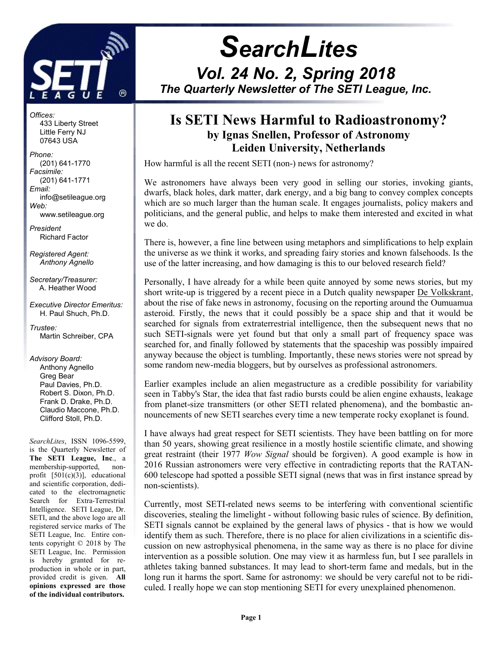

Offices: 433 Liberty Street Little Ferry NJ 07643 USA

Phone: (201) 641-1770 Facsimile: (201) 641-1771 Email: info@setileague.org Web: www.setileague.org

President Richard Factor

Registered Agent: Anthony Agnello

Secretary/Treasurer: A. Heather Wood

Executive Director Emeritus: H. Paul Shuch, Ph.D.

Trustee: Martin Schreiber, CPA

Advisory Board: Anthony Agnello Greg Bear Paul Davies, Ph.D. Robert S. Dixon, Ph.D. Frank D. Drake, Ph.D. Claudio Maccone, Ph.D. Clifford Stoll, Ph.D.

SearchLites, ISSN 1096-5599, is the Quarterly Newsletter of The SETI League, Inc., a membership-supported, nonprofit [501(c)(3)], educational and scientific corporation, dedicated to the electromagnetic Search for Extra-Terrestrial Intelligence. SETI League, Dr. SETI, and the above logo are all registered service marks of The SETI League, Inc. Entire contents copyright © 2018 by The SETI League, Inc. Permission is hereby granted for reproduction in whole or in part, provided credit is given. All opinions expressed are those of the individual contributors.

# **SearchLites**

Vol. 24 No. 2, Spring 2018 The Quarterly Newsletter of The SETI League, Inc. j

## Is SETI News Harmful to Radioastronomy? by Ignas Snellen, Professor of Astronomy Leiden University, Netherlands

How harmful is all the recent SETI (non-) news for astronomy?

We astronomers have always been very good in selling our stories, invoking giants, dwarfs, black holes, dark matter, dark energy, and a big bang to convey complex concepts which are so much larger than the human scale. It engages journalists, policy makers and politicians, and the general public, and helps to make them interested and excited in what we do.

There is, however, a fine line between using metaphors and simplifications to help explain the universe as we think it works, and spreading fairy stories and known falsehoods. Is the use of the latter increasing, and how damaging is this to our beloved research field?

Personally, I have already for a while been quite annoyed by some news stories, but my short write-up is triggered by a recent piece in a Dutch quality newspaper De Volkskrant, about the rise of fake news in astronomy, focusing on the reporting around the Oumuamua asteroid. Firstly, the news that it could possibly be a space ship and that it would be searched for signals from extraterrestrial intelligence, then the subsequent news that no such SETI-signals were yet found but that only a small part of frequency space was searched for, and finally followed by statements that the spaceship was possibly impaired anyway because the object is tumbling. Importantly, these news stories were not spread by some random new-media bloggers, but by ourselves as professional astronomers.

Earlier examples include an alien megastructure as a credible possibility for variability seen in Tabby's Star, the idea that fast radio bursts could be alien engine exhausts, leakage from planet-size transmitters (or other SETI related phenomena), and the bombastic announcements of new SETI searches every time a new temperate rocky exoplanet is found.

I have always had great respect for SETI scientists. They have been battling on for more than 50 years, showing great resilience in a mostly hostile scientific climate, and showing great restraint (their 1977 Wow Signal should be forgiven). A good example is how in 2016 Russian astronomers were very effective in contradicting reports that the RATAN-600 telescope had spotted a possible SETI signal (news that was in first instance spread by non-scientists).

Currently, most SETI-related news seems to be interfering with conventional scientific discoveries, stealing the limelight - without following basic rules of science. By definition, SETI signals cannot be explained by the general laws of physics - that is how we would identify them as such. Therefore, there is no place for alien civilizations in a scientific discussion on new astrophysical phenomena, in the same way as there is no place for divine intervention as a possible solution. One may view it as harmless fun, but I see parallels in athletes taking banned substances. It may lead to short-term fame and medals, but in the long run it harms the sport. Same for astronomy: we should be very careful not to be ridiculed. I really hope we can stop mentioning SETI for every unexplained phenomenon.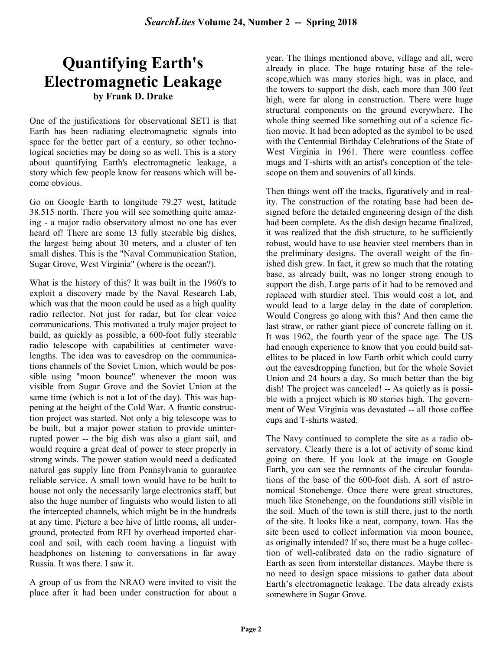## Quantifying Earth's Electromagnetic Leakage by Frank D. Drake

One of the justifications for observational SETI is that Earth has been radiating electromagnetic signals into space for the better part of a century, so other technological societies may be doing so as well. This is a story about quantifying Earth's electromagnetic leakage, a story which few people know for reasons which will become obvious.

Go on Google Earth to longitude 79.27 west, latitude 38.515 north. There you will see something quite amazing - a major radio observatory almost no one has ever heard of! There are some 13 fully steerable big dishes, the largest being about 30 meters, and a cluster of ten small dishes. This is the "Naval Communication Station, Sugar Grove, West Virginia" (where is the ocean?).

What is the history of this? It was built in the 1960's to exploit a discovery made by the Naval Research Lab, which was that the moon could be used as a high quality radio reflector. Not just for radar, but for clear voice communications. This motivated a truly major project to build, as quickly as possible, a 600-foot fully steerable radio telescope with capabilities at centimeter wavelengths. The idea was to eavesdrop on the communications channels of the Soviet Union, which would be possible using "moon bounce" whenever the moon was visible from Sugar Grove and the Soviet Union at the same time (which is not a lot of the day). This was happening at the height of the Cold War. A frantic construction project was started. Not only a big telescope was to be built, but a major power station to provide uninterrupted power -- the big dish was also a giant sail, and would require a great deal of power to steer properly in strong winds. The power station would need a dedicated natural gas supply line from Pennsylvania to guarantee reliable service. A small town would have to be built to house not only the necessarily large electronics staff, but also the huge number of linguists who would listen to all the intercepted channels, which might be in the hundreds at any time. Picture a bee hive of little rooms, all underground, protected from RFI by overhead imported charcoal and soil, with each room having a linguist with headphones on listening to conversations in far away Russia. It was there. I saw it.

A group of us from the NRAO were invited to visit the place after it had been under construction for about a year. The things mentioned above, village and all, were already in place. The huge rotating base of the telescope,which was many stories high, was in place, and the towers to support the dish, each more than 300 feet high, were far along in construction. There were huge structural components on the ground everywhere. The whole thing seemed like something out of a science fiction movie. It had been adopted as the symbol to be used with the Centennial Birthday Celebrations of the State of West Virginia in 1961. There were countless coffee mugs and T-shirts with an artist's conception of the telescope on them and souvenirs of all kinds.

Then things went off the tracks, figuratively and in reality. The construction of the rotating base had been designed before the detailed engineering design of the dish had been complete. As the dish design became finalized, it was realized that the dish structure, to be sufficiently robust, would have to use heavier steel members than in the preliminary designs. The overall weight of the finished dish grew. In fact, it grew so much that the rotating base, as already built, was no longer strong enough to support the dish. Large parts of it had to be removed and replaced with sturdier steel. This would cost a lot, and would lead to a large delay in the date of completion. Would Congress go along with this? And then came the last straw, or rather giant piece of concrete falling on it. It was 1962, the fourth year of the space age. The US had enough experience to know that you could build satellites to be placed in low Earth orbit which could carry out the eavesdropping function, but for the whole Soviet Union and 24 hours a day. So much better than the big dish! The project was canceled! -- As quietly as is possible with a project which is 80 stories high. The government of West Virginia was devastated -- all those coffee cups and T-shirts wasted.

The Navy continued to complete the site as a radio observatory. Clearly there is a lot of activity of some kind going on there. If you look at the image on Google Earth, you can see the remnants of the circular foundations of the base of the 600-foot dish. A sort of astronomical Stonehenge. Once there were great structures, much like Stonehenge, on the foundations still visible in the soil. Much of the town is still there, just to the north of the site. It looks like a neat, company, town. Has the site been used to collect information via moon bounce, as originally intended? If so, there must be a huge collection of well-calibrated data on the radio signature of Earth as seen from interstellar distances. Maybe there is no need to design space missions to gather data about Earth's electromagnetic leakage. The data already exists somewhere in Sugar Grove.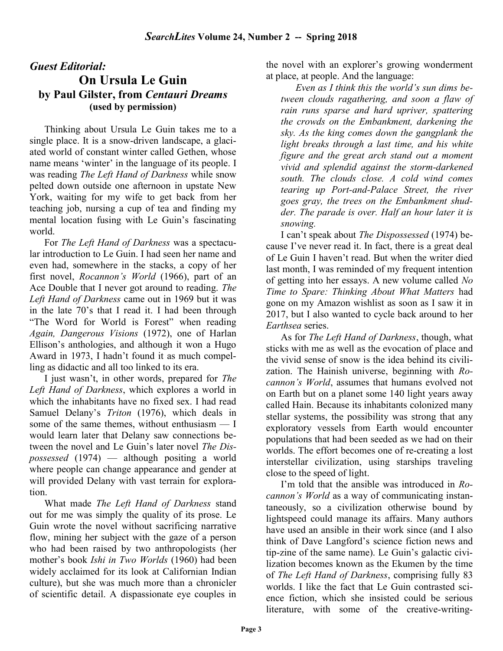## Guest Editorial:

## On Ursula Le Guin by Paul Gilster, from Centauri Dreams (used by permission)

Thinking about Ursula Le Guin takes me to a single place. It is a snow-driven landscape, a glaciated world of constant winter called Gethen, whose name means 'winter' in the language of its people. I was reading The Left Hand of Darkness while snow pelted down outside one afternoon in upstate New York, waiting for my wife to get back from her teaching job, nursing a cup of tea and finding my mental location fusing with Le Guin's fascinating world.

For The Left Hand of Darkness was a spectacular introduction to Le Guin. I had seen her name and even had, somewhere in the stacks, a copy of her first novel, Rocannon's World (1966), part of an Ace Double that I never got around to reading. The Left Hand of Darkness came out in 1969 but it was in the late 70's that I read it. I had been through "The Word for World is Forest" when reading Again, Dangerous Visions (1972), one of Harlan Ellison's anthologies, and although it won a Hugo Award in 1973, I hadn't found it as much compelling as didactic and all too linked to its era.

I just wasn't, in other words, prepared for The Left Hand of Darkness, which explores a world in which the inhabitants have no fixed sex. I had read Samuel Delany's Triton (1976), which deals in some of the same themes, without enthusiasm — I would learn later that Delany saw connections between the novel and Le Guin's later novel The Dispossessed (1974) — although positing a world where people can change appearance and gender at will provided Delany with vast terrain for exploration.

What made The Left Hand of Darkness stand out for me was simply the quality of its prose. Le Guin wrote the novel without sacrificing narrative flow, mining her subject with the gaze of a person who had been raised by two anthropologists (her mother's book Ishi in Two Worlds (1960) had been widely acclaimed for its look at Californian Indian culture), but she was much more than a chronicler of scientific detail. A dispassionate eye couples in the novel with an explorer's growing wonderment at place, at people. And the language:

Even as I think this the world's sun dims between clouds ragathering, and soon a flaw of rain runs sparse and hard upriver, spattering the crowds on the Embankment, darkening the sky. As the king comes down the gangplank the light breaks through a last time, and his white figure and the great arch stand out a moment vivid and splendid against the storm-darkened south. The clouds close, A cold wind comes tearing up Port-and-Palace Street, the river goes gray, the trees on the Embankment shudder. The parade is over. Half an hour later it is snowing.

I can't speak about The Dispossessed (1974) because I've never read it. In fact, there is a great deal of Le Guin I haven't read. But when the writer died last month, I was reminded of my frequent intention of getting into her essays. A new volume called No Time to Spare: Thinking About What Matters had gone on my Amazon wishlist as soon as I saw it in 2017, but I also wanted to cycle back around to her Earthsea series.

As for The Left Hand of Darkness, though, what sticks with me as well as the evocation of place and the vivid sense of snow is the idea behind its civilization. The Hainish universe, beginning with Rocannon's World, assumes that humans evolved not on Earth but on a planet some 140 light years away called Hain. Because its inhabitants colonized many stellar systems, the possibility was strong that any exploratory vessels from Earth would encounter populations that had been seeded as we had on their worlds. The effort becomes one of re-creating a lost interstellar civilization, using starships traveling close to the speed of light.

I'm told that the ansible was introduced in Rocannon's World as a way of communicating instantaneously, so a civilization otherwise bound by lightspeed could manage its affairs. Many authors have used an ansible in their work since (and I also think of Dave Langford's science fiction news and tip-zine of the same name). Le Guin's galactic civilization becomes known as the Ekumen by the time of The Left Hand of Darkness, comprising fully 83 worlds. I like the fact that Le Guin contrasted science fiction, which she insisted could be serious literature, with some of the creative-writing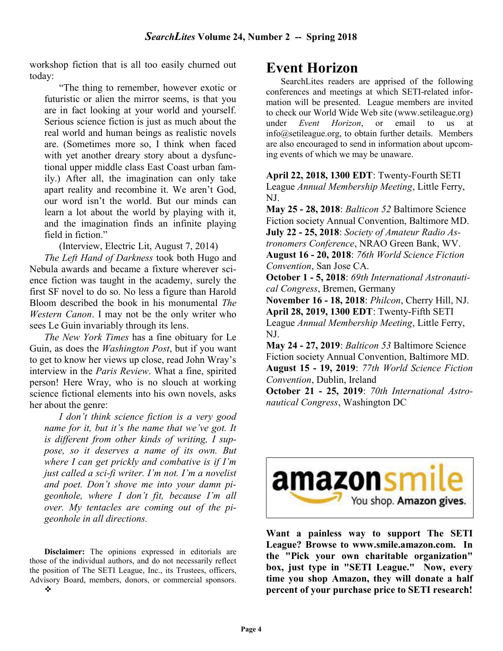workshop fiction that is all too easily churned out today:

"The thing to remember, however exotic or futuristic or alien the mirror seems, is that you are in fact looking at your world and yourself. Serious science fiction is just as much about the real world and human beings as realistic novels are. (Sometimes more so, I think when faced with yet another dreary story about a dysfunctional upper middle class East Coast urban family.) After all, the imagination can only take apart reality and recombine it. We aren't God, our word isn't the world. But our minds can learn a lot about the world by playing with it, and the imagination finds an infinite playing field in fiction."

(Interview, Electric Lit, August 7, 2014)

The Left Hand of Darkness took both Hugo and Nebula awards and became a fixture wherever science fiction was taught in the academy, surely the first SF novel to do so. No less a figure than Harold Bloom described the book in his monumental The Western Canon. I may not be the only writer who sees Le Guin invariably through its lens.

The New York Times has a fine obituary for Le Guin, as does the Washington Post, but if you want to get to know her views up close, read John Wray's interview in the Paris Review. What a fine, spirited person! Here Wray, who is no slouch at working science fictional elements into his own novels, asks her about the genre:

I don't think science fiction is a very good name for it, but it's the name that we've got. It is different from other kinds of writing, I suppose, so it deserves a name of its own. But where I can get prickly and combative is if I'm just called a sci-fi writer. I'm not. I'm a novelist and poet. Don't shove me into your damn pigeonhole, where I don't fit, because I'm all over. My tentacles are coming out of the pigeonhole in all directions.

Disclaimer: The opinions expressed in editorials are those of the individual authors, and do not necessarily reflect the position of The SETI League, Inc., its Trustees, officers, Advisory Board, members, donors, or commercial sponsors.

## Event Horizon

SearchLites readers are apprised of the following conferences and meetings at which SETI-related information will be presented. League members are invited to check our World Wide Web site (www.setileague.org) under *Event Horizon*, or email to us at info@setileague.org, to obtain further details. Members are also encouraged to send in information about upcoming events of which we may be unaware.

April 22, 2018, 1300 EDT: Twenty-Fourth SETI League Annual Membership Meeting, Little Ferry, NJ.

May 25 - 28, 2018: Balticon 52 Baltimore Science Fiction society Annual Convention, Baltimore MD. July 22 - 25, 2018: Society of Amateur Radio Astronomers Conference, NRAO Green Bank, WV. August 16 - 20, 2018: 76th World Science Fiction Convention, San Jose CA.

October 1 - 5, 2018: 69th International Astronautical Congress, Bremen, Germany

November 16 - 18, 2018: Philcon, Cherry Hill, NJ. April 28, 2019, 1300 EDT: Twenty-Fifth SETI League Annual Membership Meeting, Little Ferry, NJ.

May 24 - 27, 2019: Balticon 53 Baltimore Science Fiction society Annual Convention, Baltimore MD. August 15 - 19, 2019: 77th World Science Fiction Convention, Dublin, Ireland

October 21 - 25, 2019: 70th International Astronautical Congress, Washington DC



Want a painless way to support The SETI League? Browse to www.smile.amazon.com. In the "Pick your own charitable organization" box, just type in "SETI League." Now, every time you shop Amazon, they will donate a half percent of your purchase price to SETI research!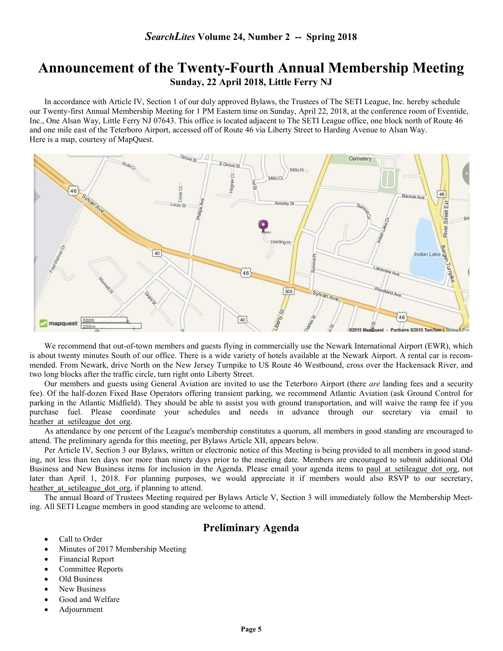## Announcement of the Twenty-Fourth Annual Membership Meeting Sunday, 22 April 2018, Little Ferry NJ

 In accordance with Article IV, Section 1 of our duly approved Bylaws, the Trustees of The SETI League, Inc. hereby schedule our Twenty-first Annual Membership Meeting for 1 PM Eastern time on Sunday, April 22, 2018, at the conference room of Eventide, Inc., One Alsan Way, Little Ferry NJ 07643. This office is located adjacent to The SETI League office, one block north of Route 46 and one mile east of the Teterboro Airport, accessed off of Route 46 via Liberty Street to Harding Avenue to Alsan Way. Here is a map, courtesy of MapQuest.



We recommend that out-of-town members and guests flying in commercially use the Newark International Airport (EWR), which is about twenty minutes South of our office. There is a wide variety of hotels available at the Newark Airport. A rental car is recommended. From Newark, drive North on the New Jersey Turnpike to US Route 46 Westbound, cross over the Hackensack River, and two long blocks after the traffic circle, turn right onto Liberty Street.

Our members and guests using General Aviation are invited to use the Teterboro Airport (there *are* landing fees and a security fee). Of the half-dozen Fixed Base Operators offering transient parking, we recommend Atlantic Aviation (ask Ground Control for parking in the Atlantic Midfield). They should be able to assist you with ground transportation, and will waive the ramp fee if you purchase fuel. Please coordinate your schedules and needs in advance through our secretary via email to heather at setileague dot org.

As attendance by one percent of the League's membership constitutes a quorum, all members in good standing are encouraged to attend. The preliminary agenda for this meeting, per Bylaws Article XII, appears below.

Per Article IV, Section 3 our Bylaws, written or electronic notice of this Meeting is being provided to all members in good standing, not less than ten days nor more than ninety days prior to the meeting date. Members are encouraged to submit additional Old Business and New Business items for inclusion in the Agenda. Please email your agenda items to paul at setileague dot org, not later than April 1, 2018. For planning purposes, we would appreciate it if members would also RSVP to our secretary, heather at setileague dot org, if planning to attend.

The annual Board of Trustees Meeting required per Bylaws Article V, Section 3 will immediately follow the Membership Meeting. All SETI League members in good standing are welcome to attend.

#### Preliminary Agenda

- Call to Order
- Minutes of 2017 Membership Meeting
- Financial Report
- Committee Reports
- Old Business
- New Business
- Good and Welfare
- Adjournment